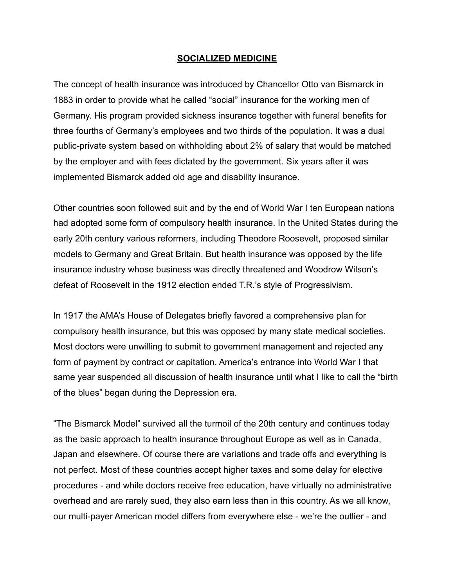## **SOCIALIZED MEDICINE**

The concept of health insurance was introduced by Chancellor Otto van Bismarck in 1883 in order to provide what he called "social" insurance for the working men of Germany. His program provided sickness insurance together with funeral benefits for three fourths of Germany's employees and two thirds of the population. It was a dual public-private system based on withholding about 2% of salary that would be matched by the employer and with fees dictated by the government. Six years after it was implemented Bismarck added old age and disability insurance.

Other countries soon followed suit and by the end of World War I ten European nations had adopted some form of compulsory health insurance. In the United States during the early 20th century various reformers, including Theodore Roosevelt, proposed similar models to Germany and Great Britain. But health insurance was opposed by the life insurance industry whose business was directly threatened and Woodrow Wilson's defeat of Roosevelt in the 1912 election ended T.R.'s style of Progressivism.

In 1917 the AMA's House of Delegates briefly favored a comprehensive plan for compulsory health insurance, but this was opposed by many state medical societies. Most doctors were unwilling to submit to government management and rejected any form of payment by contract or capitation. America's entrance into World War I that same year suspended all discussion of health insurance until what I like to call the "birth of the blues" began during the Depression era.

"The Bismarck Model" survived all the turmoil of the 20th century and continues today as the basic approach to health insurance throughout Europe as well as in Canada, Japan and elsewhere. Of course there are variations and trade offs and everything is not perfect. Most of these countries accept higher taxes and some delay for elective procedures - and while doctors receive free education, have virtually no administrative overhead and are rarely sued, they also earn less than in this country. As we all know, our multi-payer American model differs from everywhere else - we're the outlier - and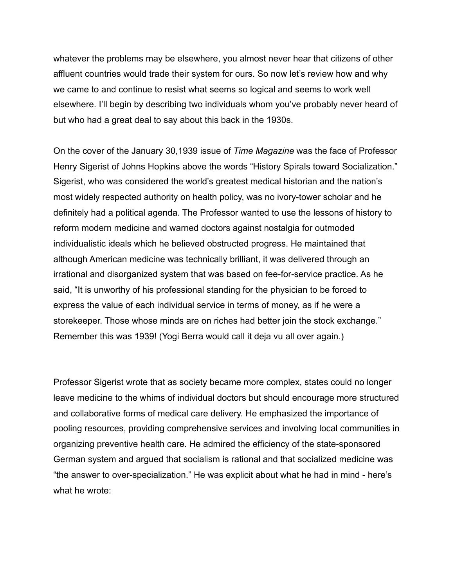whatever the problems may be elsewhere, you almost never hear that citizens of other affluent countries would trade their system for ours. So now let's review how and why we came to and continue to resist what seems so logical and seems to work well elsewhere. I'll begin by describing two individuals whom you've probably never heard of but who had a great deal to say about this back in the 1930s.

On the cover of the January 30,1939 issue of *Time Magazine* was the face of Professor Henry Sigerist of Johns Hopkins above the words "History Spirals toward Socialization." Sigerist, who was considered the world's greatest medical historian and the nation's most widely respected authority on health policy, was no ivory-tower scholar and he definitely had a political agenda. The Professor wanted to use the lessons of history to reform modern medicine and warned doctors against nostalgia for outmoded individualistic ideals which he believed obstructed progress. He maintained that although American medicine was technically brilliant, it was delivered through an irrational and disorganized system that was based on fee-for-service practice. As he said, "It is unworthy of his professional standing for the physician to be forced to express the value of each individual service in terms of money, as if he were a storekeeper. Those whose minds are on riches had better join the stock exchange." Remember this was 1939! (Yogi Berra would call it deja vu all over again.)

Professor Sigerist wrote that as society became more complex, states could no longer leave medicine to the whims of individual doctors but should encourage more structured and collaborative forms of medical care delivery. He emphasized the importance of pooling resources, providing comprehensive services and involving local communities in organizing preventive health care. He admired the efficiency of the state-sponsored German system and argued that socialism is rational and that socialized medicine was "the answer to over-specialization." He was explicit about what he had in mind - here's what he wrote: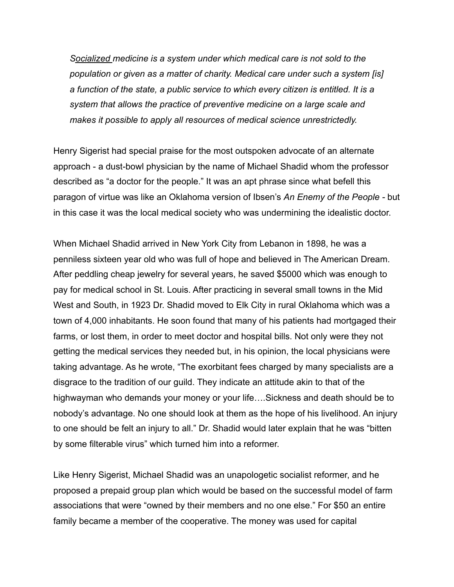*Socialized medicine is a system under which medical care is not sold to the population or given as a matter of charity. Medical care under such a system [is] a function of the state, a public service to which every citizen is entitled. It is a system that allows the practice of preventive medicine on a large scale and makes it possible to apply all resources of medical science unrestrictedly.* 

Henry Sigerist had special praise for the most outspoken advocate of an alternate approach - a dust-bowl physician by the name of Michael Shadid whom the professor described as "a doctor for the people." It was an apt phrase since what befell this paragon of virtue was like an Oklahoma version of Ibsen's *An Enemy of the People -* but in this case it was the local medical society who was undermining the idealistic doctor.

When Michael Shadid arrived in New York City from Lebanon in 1898, he was a penniless sixteen year old who was full of hope and believed in The American Dream. After peddling cheap jewelry for several years, he saved \$5000 which was enough to pay for medical school in St. Louis. After practicing in several small towns in the Mid West and South, in 1923 Dr. Shadid moved to Elk City in rural Oklahoma which was a town of 4,000 inhabitants. He soon found that many of his patients had mortgaged their farms, or lost them, in order to meet doctor and hospital bills. Not only were they not getting the medical services they needed but, in his opinion, the local physicians were taking advantage. As he wrote, "The exorbitant fees charged by many specialists are a disgrace to the tradition of our guild. They indicate an attitude akin to that of the highwayman who demands your money or your life….Sickness and death should be to nobody's advantage. No one should look at them as the hope of his livelihood. An injury to one should be felt an injury to all." Dr. Shadid would later explain that he was "bitten by some filterable virus" which turned him into a reformer.

Like Henry Sigerist, Michael Shadid was an unapologetic socialist reformer, and he proposed a prepaid group plan which would be based on the successful model of farm associations that were "owned by their members and no one else." For \$50 an entire family became a member of the cooperative. The money was used for capital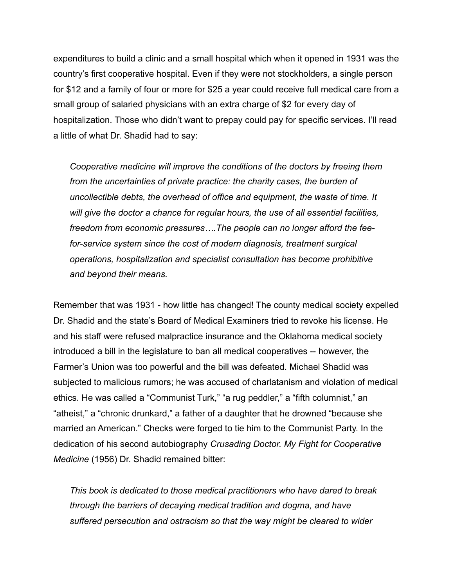expenditures to build a clinic and a small hospital which when it opened in 1931 was the country's first cooperative hospital. Even if they were not stockholders, a single person for \$12 and a family of four or more for \$25 a year could receive full medical care from a small group of salaried physicians with an extra charge of \$2 for every day of hospitalization. Those who didn't want to prepay could pay for specific services. I'll read a little of what Dr. Shadid had to say:

*Cooperative medicine will improve the conditions of the doctors by freeing them from the uncertainties of private practice: the charity cases, the burden of uncollectible debts, the overhead of office and equipment, the waste of time. It will give the doctor a chance for regular hours, the use of all essential facilities, freedom from economic pressures….The people can no longer afford the feefor-service system since the cost of modern diagnosis, treatment surgical operations, hospitalization and specialist consultation has become prohibitive and beyond their means.* 

Remember that was 1931 - how little has changed! The county medical society expelled Dr. Shadid and the state's Board of Medical Examiners tried to revoke his license. He and his staff were refused malpractice insurance and the Oklahoma medical society introduced a bill in the legislature to ban all medical cooperatives -- however, the Farmer's Union was too powerful and the bill was defeated. Michael Shadid was subjected to malicious rumors; he was accused of charlatanism and violation of medical ethics. He was called a "Communist Turk," "a rug peddler," a "fifth columnist," an "atheist," a "chronic drunkard," a father of a daughter that he drowned "because she married an American." Checks were forged to tie him to the Communist Party. In the dedication of his second autobiography *Crusading Doctor. My Fight for Cooperative Medicine* (1956) Dr. Shadid remained bitter:

*This book is dedicated to those medical practitioners who have dared to break through the barriers of decaying medical tradition and dogma, and have suffered persecution and ostracism so that the way might be cleared to wider*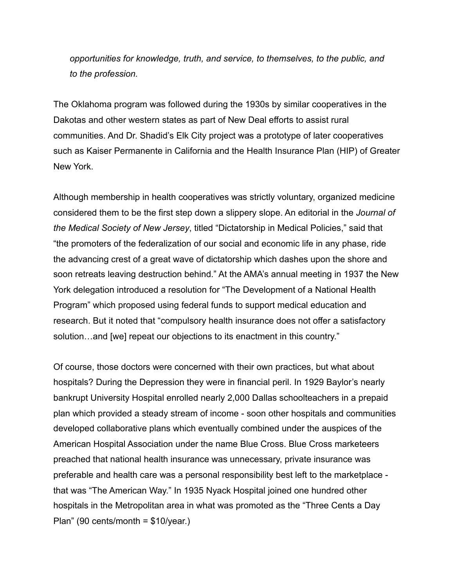*opportunities for knowledge, truth, and service, to themselves, to the public, and to the profession.* 

The Oklahoma program was followed during the 1930s by similar cooperatives in the Dakotas and other western states as part of New Deal efforts to assist rural communities. And Dr. Shadid's Elk City project was a prototype of later cooperatives such as Kaiser Permanente in California and the Health Insurance Plan (HIP) of Greater New York.

Although membership in health cooperatives was strictly voluntary, organized medicine considered them to be the first step down a slippery slope. An editorial in the *Journal of the Medical Society of New Jersey*, titled "Dictatorship in Medical Policies," said that "the promoters of the federalization of our social and economic life in any phase, ride the advancing crest of a great wave of dictatorship which dashes upon the shore and soon retreats leaving destruction behind." At the AMA's annual meeting in 1937 the New York delegation introduced a resolution for "The Development of a National Health Program" which proposed using federal funds to support medical education and research. But it noted that "compulsory health insurance does not offer a satisfactory solution…and [we] repeat our objections to its enactment in this country."

Of course, those doctors were concerned with their own practices, but what about hospitals? During the Depression they were in financial peril. In 1929 Baylor's nearly bankrupt University Hospital enrolled nearly 2,000 Dallas schoolteachers in a prepaid plan which provided a steady stream of income - soon other hospitals and communities developed collaborative plans which eventually combined under the auspices of the American Hospital Association under the name Blue Cross. Blue Cross marketeers preached that national health insurance was unnecessary, private insurance was preferable and health care was a personal responsibility best left to the marketplace that was "The American Way." In 1935 Nyack Hospital joined one hundred other hospitals in the Metropolitan area in what was promoted as the "Three Cents a Day Plan" (90 cents/month = \$10/year.)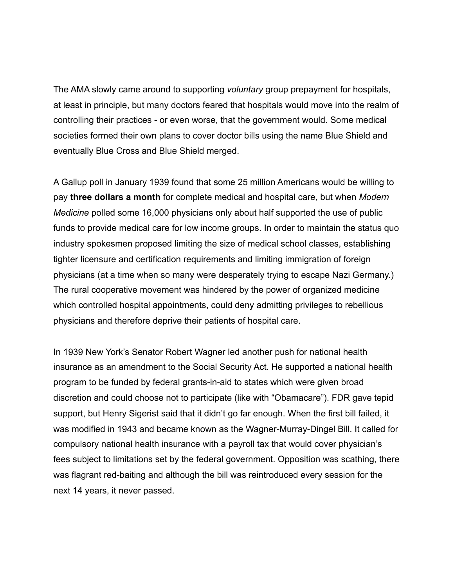The AMA slowly came around to supporting *voluntary* group prepayment for hospitals, at least in principle, but many doctors feared that hospitals would move into the realm of controlling their practices - or even worse, that the government would. Some medical societies formed their own plans to cover doctor bills using the name Blue Shield and eventually Blue Cross and Blue Shield merged.

A Gallup poll in January 1939 found that some 25 million Americans would be willing to pay **three dollars a month** for complete medical and hospital care, but when *Modern Medicine* polled some 16,000 physicians only about half supported the use of public funds to provide medical care for low income groups. In order to maintain the status quo industry spokesmen proposed limiting the size of medical school classes, establishing tighter licensure and certification requirements and limiting immigration of foreign physicians (at a time when so many were desperately trying to escape Nazi Germany.) The rural cooperative movement was hindered by the power of organized medicine which controlled hospital appointments, could deny admitting privileges to rebellious physicians and therefore deprive their patients of hospital care.

In 1939 New York's Senator Robert Wagner led another push for national health insurance as an amendment to the Social Security Act. He supported a national health program to be funded by federal grants-in-aid to states which were given broad discretion and could choose not to participate (like with "Obamacare"). FDR gave tepid support, but Henry Sigerist said that it didn't go far enough. When the first bill failed, it was modified in 1943 and became known as the Wagner-Murray-Dingel Bill. It called for compulsory national health insurance with a payroll tax that would cover physician's fees subject to limitations set by the federal government. Opposition was scathing, there was flagrant red-baiting and although the bill was reintroduced every session for the next 14 years, it never passed.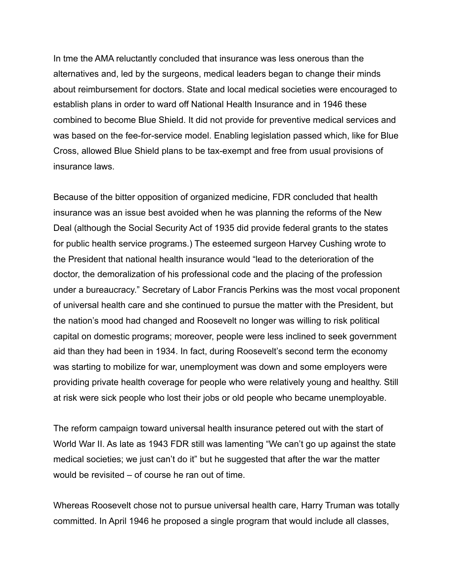In tme the AMA reluctantly concluded that insurance was less onerous than the alternatives and, led by the surgeons, medical leaders began to change their minds about reimbursement for doctors. State and local medical societies were encouraged to establish plans in order to ward off National Health Insurance and in 1946 these combined to become Blue Shield. It did not provide for preventive medical services and was based on the fee-for-service model. Enabling legislation passed which, like for Blue Cross, allowed Blue Shield plans to be tax-exempt and free from usual provisions of insurance laws.

Because of the bitter opposition of organized medicine, FDR concluded that health insurance was an issue best avoided when he was planning the reforms of the New Deal (although the Social Security Act of 1935 did provide federal grants to the states for public health service programs.) The esteemed surgeon Harvey Cushing wrote to the President that national health insurance would "lead to the deterioration of the doctor, the demoralization of his professional code and the placing of the profession under a bureaucracy." Secretary of Labor Francis Perkins was the most vocal proponent of universal health care and she continued to pursue the matter with the President, but the nation's mood had changed and Roosevelt no longer was willing to risk political capital on domestic programs; moreover, people were less inclined to seek government aid than they had been in 1934. In fact, during Roosevelt's second term the economy was starting to mobilize for war, unemployment was down and some employers were providing private health coverage for people who were relatively young and healthy. Still at risk were sick people who lost their jobs or old people who became unemployable.

The reform campaign toward universal health insurance petered out with the start of World War II. As late as 1943 FDR still was lamenting "We can't go up against the state medical societies; we just can't do it" but he suggested that after the war the matter would be revisited – of course he ran out of time.

Whereas Roosevelt chose not to pursue universal health care, Harry Truman was totally committed. In April 1946 he proposed a single program that would include all classes,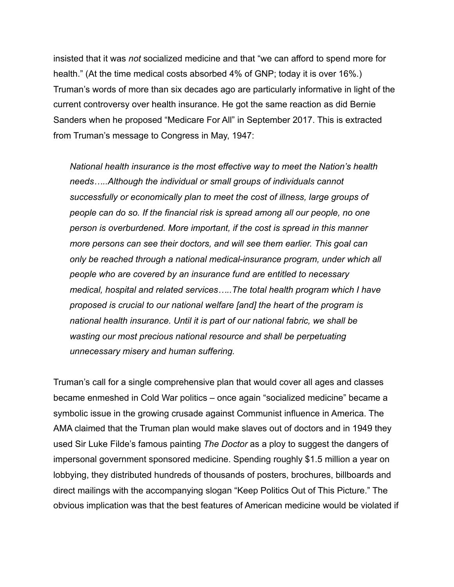insisted that it was *not* socialized medicine and that "we can afford to spend more for health." (At the time medical costs absorbed 4% of GNP; today it is over 16%.) Truman's words of more than six decades ago are particularly informative in light of the current controversy over health insurance. He got the same reaction as did Bernie Sanders when he proposed "Medicare For All" in September 2017. This is extracted from Truman's message to Congress in May, 1947:

*National health insurance is the most effective way to meet the Nation's health needs…..Although the individual or small groups of individuals cannot successfully or economically plan to meet the cost of illness, large groups of people can do so. If the financial risk is spread among all our people, no one person is overburdened. More important, if the cost is spread in this manner more persons can see their doctors, and will see them earlier. This goal can only be reached through a national medical-insurance program, under which all people who are covered by an insurance fund are entitled to necessary medical, hospital and related services…..The total health program which I have proposed is crucial to our national welfare [and] the heart of the program is national health insurance. Until it is part of our national fabric, we shall be wasting our most precious national resource and shall be perpetuating unnecessary misery and human suffering.* 

Truman's call for a single comprehensive plan that would cover all ages and classes became enmeshed in Cold War politics – once again "socialized medicine" became a symbolic issue in the growing crusade against Communist influence in America. The AMA claimed that the Truman plan would make slaves out of doctors and in 1949 they used Sir Luke Filde's famous painting *The Doctor* as a ploy to suggest the dangers of impersonal government sponsored medicine. Spending roughly \$1.5 million a year on lobbying, they distributed hundreds of thousands of posters, brochures, billboards and direct mailings with the accompanying slogan "Keep Politics Out of This Picture." The obvious implication was that the best features of American medicine would be violated if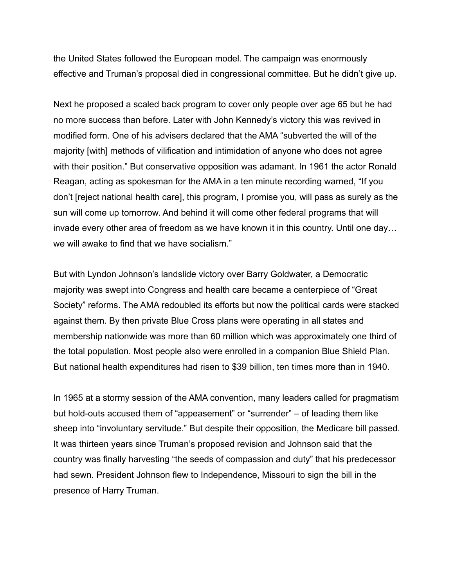the United States followed the European model. The campaign was enormously effective and Truman's proposal died in congressional committee. But he didn't give up.

Next he proposed a scaled back program to cover only people over age 65 but he had no more success than before. Later with John Kennedy's victory this was revived in modified form. One of his advisers declared that the AMA "subverted the will of the majority [with] methods of vilification and intimidation of anyone who does not agree with their position." But conservative opposition was adamant. In 1961 the actor Ronald Reagan, acting as spokesman for the AMA in a ten minute recording warned, "If you don't [reject national health care], this program, I promise you, will pass as surely as the sun will come up tomorrow. And behind it will come other federal programs that will invade every other area of freedom as we have known it in this country. Until one day… we will awake to find that we have socialism."

But with Lyndon Johnson's landslide victory over Barry Goldwater, a Democratic majority was swept into Congress and health care became a centerpiece of "Great Society" reforms. The AMA redoubled its efforts but now the political cards were stacked against them. By then private Blue Cross plans were operating in all states and membership nationwide was more than 60 million which was approximately one third of the total population. Most people also were enrolled in a companion Blue Shield Plan. But national health expenditures had risen to \$39 billion, ten times more than in 1940.

In 1965 at a stormy session of the AMA convention, many leaders called for pragmatism but hold-outs accused them of "appeasement" or "surrender" – of leading them like sheep into "involuntary servitude." But despite their opposition, the Medicare bill passed. It was thirteen years since Truman's proposed revision and Johnson said that the country was finally harvesting "the seeds of compassion and duty" that his predecessor had sewn. President Johnson flew to Independence, Missouri to sign the bill in the presence of Harry Truman.